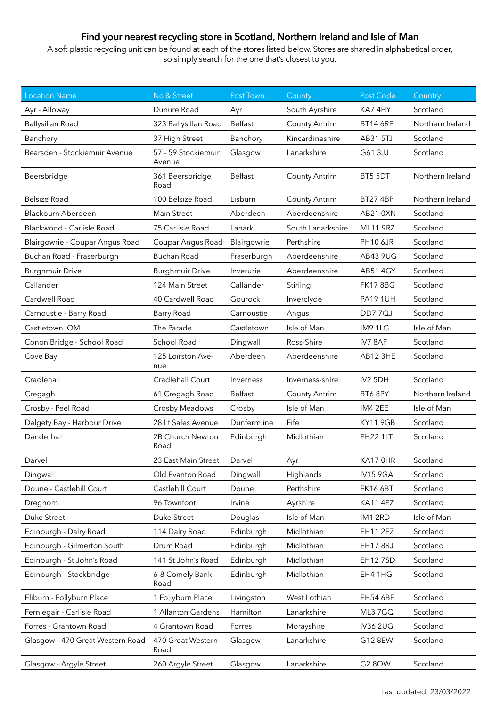## **Find your nearest recycling store in Scotland, Northern Ireland and Isle of Man**

A soft plastic recycling unit can be found at each of the stores listed below. Stores are shared in alphabetical order, so simply search for the one that's closest to you.

| <b>Location Name</b>             | No & Street                   | Post Town   | County               | Post Code       | Country          |
|----------------------------------|-------------------------------|-------------|----------------------|-----------------|------------------|
| Ayr - Alloway                    | Dunure Road                   | Ayr         | South Ayrshire       | KA7 4HY         | Scotland         |
| Ballysillan Road                 | 323 Ballysillan Road          | Belfast     | <b>County Antrim</b> | <b>BT14 6RE</b> | Northern Ireland |
| Banchory                         | 37 High Street                | Banchory    | Kincardineshire      | AB31 5TJ        | Scotland         |
| Bearsden - Stockiemuir Avenue    | 57 - 59 Stockiemuir<br>Avenue | Glasgow     | Lanarkshire          | G61 3JJ         | Scotland         |
| Beersbridge                      | 361 Beersbridge<br>Road       | Belfast     | <b>County Antrim</b> | BT5 5DT         | Northern Ireland |
| <b>Belsize Road</b>              | 100 Belsize Road              | Lisburn     | <b>County Antrim</b> | <b>BT27 4BP</b> | Northern Ireland |
| Blackburn Aberdeen               | Main Street                   | Aberdeen    | Aberdeenshire        | AB21 0XN        | Scotland         |
| Blackwood - Carlisle Road        | 75 Carlisle Road              | Lanark      | South Lanarkshire    | <b>ML11 9RZ</b> | Scotland         |
| Blairgowrie - Coupar Angus Road  | Coupar Angus Road             | Blairgowrie | Perthshire           | <b>PH10 6JR</b> | Scotland         |
| Buchan Road - Fraserburgh        | <b>Buchan Road</b>            | Fraserburgh | Aberdeenshire        | AB43 9UG        | Scotland         |
| <b>Burghmuir Drive</b>           | <b>Burghmuir Drive</b>        | Inverurie   | Aberdeenshire        | <b>AB51 4GY</b> | Scotland         |
| Callander                        | 124 Main Street               | Callander   | Stirling             | <b>FK17 8BG</b> | Scotland         |
| Cardwell Road                    | 40 Cardwell Road              | Gourock     | Inverclyde           | <b>PA19 1UH</b> | Scotland         |
| Carnoustie - Barry Road          | Barry Road                    | Carnoustie  | Angus                | <b>DD77QJ</b>   | Scotland         |
| Castletown IOM                   | The Parade                    | Castletown  | Isle of Man          | IM91LG          | Isle of Man      |
| Conon Bridge - School Road       | School Road                   | Dingwall    | Ross-Shire           | IV78AF          | Scotland         |
| Cove Bay                         | 125 Loirston Ave-<br>nue      | Aberdeen    | Aberdeenshire        | AB12 3HE        | Scotland         |
| Cradlehall                       | Cradlehall Court              | Inverness   | Inverness-shire      | IV2 5DH         | Scotland         |
| Cregagh                          | 61 Cregagh Road               | Belfast     | <b>County Antrim</b> | BT6 8PY         | Northern Ireland |
| Crosby - Peel Road               | Crosby Meadows                | Crosby      | Isle of Man          | IM4 2EE         | Isle of Man      |
| Dalgety Bay - Harbour Drive      | 28 Lt Sales Avenue            | Dunfermline | Fife                 | <b>KY11 9GB</b> | Scotland         |
| Danderhall                       | 2B Church Newton<br>Road      | Edinburgh   | Midlothian           | <b>EH22 1LT</b> | Scotland         |
| Darvel                           | 23 East Main Street           | Darvel      | Ayr                  | KA17 OHR        | Scotland         |
| Dingwall                         | Old Evanton Road              | Dingwall    | Highlands            | <b>IV15 9GA</b> | Scotland         |
| Doune - Castlehill Court         | Castlehill Court              | Doune       | Perthshire           | <b>FK16 6BT</b> | Scotland         |
| Dreghorn                         | 96 Townfoot                   | Irvine      | Ayrshire             | <b>KA11 4EZ</b> | Scotland         |
| Duke Street                      | Duke Street                   | Douglas     | Isle of Man          | IM12RD          | Isle of Man      |
| Edinburgh - Dalry Road           | 114 Dalry Road                | Edinburgh   | Midlothian           | <b>EH11 2EZ</b> | Scotland         |
| Edinburgh - Gilmerton South      | Drum Road                     | Edinburgh   | Midlothian           | <b>EH17 8RJ</b> | Scotland         |
| Edinburgh - St John's Road       | 141 St John's Road            | Edinburgh   | Midlothian           | <b>EH127SD</b>  | Scotland         |
| Edinburgh - Stockbridge          | 6-8 Comely Bank<br>Road       | Edinburgh   | Midlothian           | EH4 1HG         | Scotland         |
| Eliburn - Follyburn Place        | 1 Follyburn Place             | Livingston  | West Lothian         | <b>EH54 6BF</b> | Scotland         |
| Ferniegair - Carlisle Road       | 1 Allanton Gardens            | Hamilton    | Lanarkshire          | ML37GQ          | Scotland         |
| Forres - Grantown Road           | 4 Grantown Road               | Forres      | Morayshire           | <b>IV36 2UG</b> | Scotland         |
| Glasgow - 470 Great Western Road | 470 Great Western<br>Road     | Glasgow     | Lanarkshire          | G12 8EW         | Scotland         |
| Glasgow - Argyle Street          | 260 Argyle Street             | Glasgow     | Lanarkshire          | G2 8QW          | Scotland         |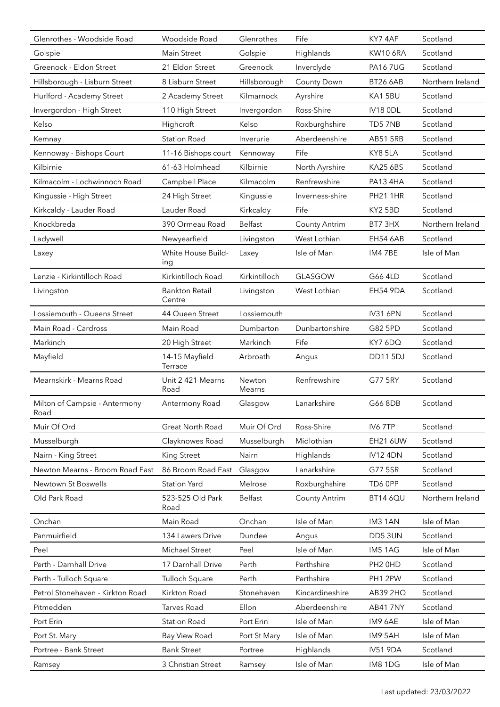| Glenrothes - Woodside Road            | Woodside Road                   | Glenrothes       | Fife                 | KY7 4AF         | Scotland         |
|---------------------------------------|---------------------------------|------------------|----------------------|-----------------|------------------|
| Golspie                               | Main Street                     | Golspie          | Highlands            | <b>KW10 6RA</b> | Scotland         |
| Greenock - Eldon Street               | 21 Eldon Street                 | Greenock         | Inverclyde           | <b>PA167UG</b>  | Scotland         |
| Hillsborough - Lisburn Street         | 8 Lisburn Street                | Hillsborough     | County Down          | <b>BT26 6AB</b> | Northern Ireland |
| Hurlford - Academy Street             | 2 Academy Street                | Kilmarnock       | Ayrshire             | KA15BU          | Scotland         |
| Invergordon - High Street             | 110 High Street                 | Invergordon      | Ross-Shire           | IV18 ODL        | Scotland         |
| Kelso                                 | Highcroft                       | Kelso            | Roxburghshire        | TD57NB          | Scotland         |
| Kemnay                                | <b>Station Road</b>             | Inverurie        | Aberdeenshire        | <b>AB51 5RB</b> | Scotland         |
| Kennoway - Bishops Court              | 11-16 Bishops court             | Kennoway         | Fife                 | KY8 5LA         | Scotland         |
| Kilbirnie                             | 61-63 Holmhead                  | Kilbirnie        | North Ayrshire       | <b>KA25 6BS</b> | Scotland         |
| Kilmacolm - Lochwinnoch Road          | Campbell Place                  | Kilmacolm        | Renfrewshire         | PA13 4HA        | Scotland         |
| Kingussie - High Street               | 24 High Street                  | Kingussie        | Inverness-shire      | <b>PH21 1HR</b> | Scotland         |
| Kirkcaldy - Lauder Road               | Lauder Road                     | Kirkcaldy        | Fife                 | KY2 5BD         | Scotland         |
| Knockbreda                            | 390 Ormeau Road                 | Belfast          | <b>County Antrim</b> | BT7 3HX         | Northern Ireland |
| Ladywell                              | Newyearfield                    | Livingston       | West Lothian         | <b>EH54 6AB</b> | Scotland         |
| Laxey                                 | White House Build-<br>ing       | Laxey            | Isle of Man          | IM4 7BE         | Isle of Man      |
| Lenzie - Kirkintilloch Road           | Kirkintilloch Road              | Kirkintilloch    | <b>GLASGOW</b>       | G66 4LD         | Scotland         |
| Livingston                            | <b>Bankton Retail</b><br>Centre | Livingston       | West Lothian         | EH54 9DA        | Scotland         |
| Lossiemouth - Queens Street           | 44 Queen Street                 | Lossiemouth      |                      | <b>IV31 6PN</b> | Scotland         |
| Main Road - Cardross                  | Main Road                       | Dumbarton        | Dunbartonshire       | G82 5PD         | Scotland         |
| Markinch                              | 20 High Street                  | Markinch         | Fife                 | KY7 6DQ         | Scotland         |
| Mayfield                              | 14-15 Mayfield<br>Terrace       | Arbroath         | Angus                | <b>DD11 5DJ</b> | Scotland         |
| Mearnskirk - Mearns Road              | Unit 2 421 Mearns<br>Road       | Newton<br>Mearns | Renfrewshire         | G77 5RY         | Scotland         |
| Milton of Campsie - Antermony<br>Road | Antermony Road                  | Glasgow          | Lanarkshire          | G66 8DB         | Scotland         |
| Muir Of Ord                           | Great North Road                | Muir Of Ord      | Ross-Shire           | IV6 7TP         | Scotland         |
| Musselburgh                           | Clayknowes Road                 | Musselburgh      | Midlothian           | <b>EH21 6UW</b> | Scotland         |
| Nairn - King Street                   | <b>King Street</b>              | Nairn            | Highlands            | <b>IV12 4DN</b> | Scotland         |
| Newton Mearns - Broom Road East       | 86 Broom Road East              | Glasgow          | Lanarkshire          | G77 5SR         | Scotland         |
| Newtown St Boswells                   | <b>Station Yard</b>             | Melrose          | Roxburghshire        | TD6 0PP         | Scotland         |
| Old Park Road                         | 523-525 Old Park<br>Road        | Belfast          | <b>County Antrim</b> | <b>BT14 6QU</b> | Northern Ireland |
| Onchan                                | Main Road                       | Onchan           | Isle of Man          | IM3 1AN         | Isle of Man      |
| Panmuirfield                          | 134 Lawers Drive                | Dundee           | Angus                | DD53UN          | Scotland         |
| Peel                                  | Michael Street                  | Peel             | Isle of Man          | IM5 1AG         | Isle of Man      |
| Perth - Darnhall Drive                | 17 Darnhall Drive               | Perth            | Perthshire           | PH2 0HD         | Scotland         |
| Perth - Tulloch Square                | Tulloch Square                  | Perth            | Perthshire           | PH1 2PW         | Scotland         |
| Petrol Stonehaven - Kirkton Road      | Kirkton Road                    | Stonehaven       | Kincardineshire      | AB39 2HQ        | Scotland         |
| Pitmedden                             | Tarves Road                     | Ellon            | Aberdeenshire        | <b>AB41 7NY</b> | Scotland         |
| Port Erin                             | <b>Station Road</b>             | Port Erin        | Isle of Man          | IM9 6AE         | Isle of Man      |
| Port St. Mary                         | Bay View Road                   | Port St Mary     | Isle of Man          | IM9 5AH         | Isle of Man      |
| Portree - Bank Street                 | <b>Bank Street</b>              | Portree          | Highlands            | <b>IV51 9DA</b> | Scotland         |
| Ramsey                                | 3 Christian Street              | Ramsey           | Isle of Man          | IM8 1DG         | Isle of Man      |